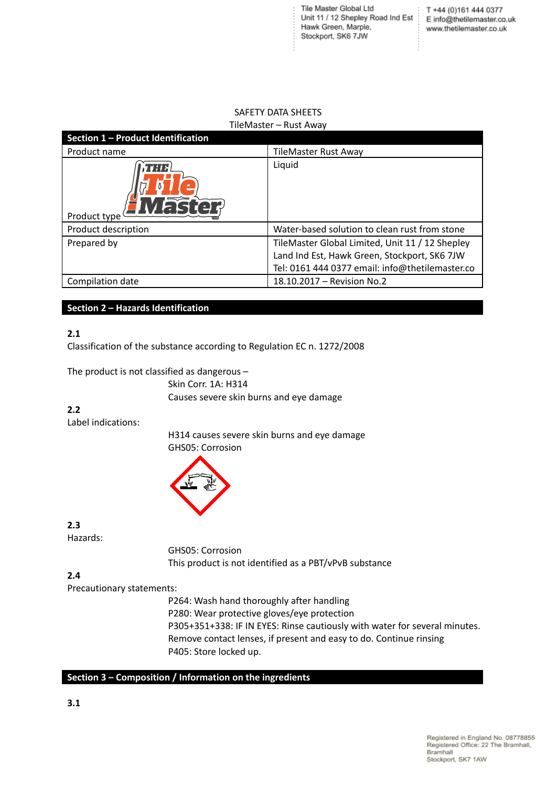Tile Master Global Ltd T +44 (0)161 444 0377<br>Unit 11 / 12 Shepley Road Ind Est Einfo@thetilemaster.co.uk Hawk Green, Marple, Stockport, SK6 7JW

T +44 (0)161 444 0377 www.thetilemaster.co.uk

÷

## SAFETY DATA SHEETS TileMaster – Rust Away

| Section 1 - Product Identification |                                                 |
|------------------------------------|-------------------------------------------------|
| Product name                       | <b>TileMaster Rust Away</b>                     |
| 7:1 H<br>Product type              | Liquid                                          |
| Product description                | Water-based solution to clean rust from stone   |
| Prepared by                        | TileMaster Global Limited, Unit 11 / 12 Shepley |
|                                    | Land Ind Est, Hawk Green, Stockport, SK6 7JW    |
|                                    | Tel: 0161 444 0377 email: info@thetilemaster.co |
| Compilation date                   | 18.10.2017 - Revision No.2                      |

### **Section 2 – Hazards Identification**

### **2.1**

Classification of the substance according to Regulation EC n. 1272/2008

The product is not classified as dangerous –

Skin Corr. 1A: H314 Causes severe skin burns and eye damage

### **2.2**

Label indications:

H314 causes severe skin burns and eye damage GHS05: Corrosion



**2.3** Hazards:

> GHS05: Corrosion This product is not identified as a PBT/vPvB substance

# **2.4**

Precautionary statements:

P264: Wash hand thoroughly after handling P280: Wear protective gloves/eye protection P305+351+338: IF IN EYES: Rinse cautiously with water for several minutes. Remove contact lenses, if present and easy to do. Continue rinsing P405: Store locked up.

## **Section 3 – Composition / Information on the ingredients**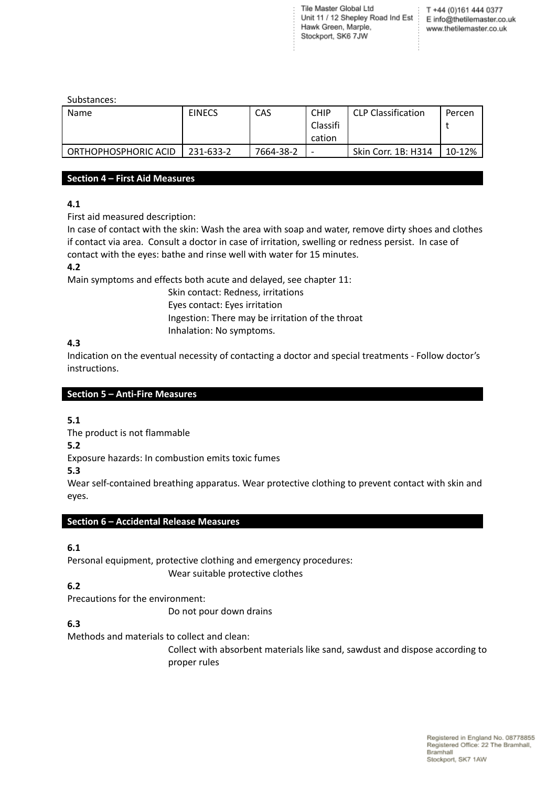Tile Master Global Ltd The master Global Etd Text 1 +44 (0)161 444 0377<br>Unit 11 / 12 Shepley Road Ind Est | E info@thetilemaster.co.uk Hawk Green, Marple, Stockport, SK6 7JW

T +44 (0)161 444 0377 www.thetilemaster.co.uk

Substances:

| Name                 | <b>EINECS</b> | CAS       | <b>CHIP</b><br>Classifi<br>cation | <b>CLP Classification</b> | Percen |
|----------------------|---------------|-----------|-----------------------------------|---------------------------|--------|
| ORTHOPHOSPHORIC ACID | 231-633-2     | 7664-38-2 |                                   | Skin Corr. 1B: H314       | 10-12% |

#### **Section 4 – First Aid Measures**

## **4.1**

First aid measured description:

In case of contact with the skin: Wash the area with soap and water, remove dirty shoes and clothes if contact via area. Consult a doctor in case of irritation, swelling or redness persist. In case of contact with the eyes: bathe and rinse well with water for 15 minutes.

## **4.2**

Main symptoms and effects both acute and delayed, see chapter 11:

Skin contact: Redness, irritations Eyes contact: Eyes irritation Ingestion: There may be irritation of the throat Inhalation: No symptoms.

### **4.3**

Indication on the eventual necessity of contacting a doctor and special treatments - Follow doctor's instructions.

### **Section 5 – Anti-Fire Measures**

## **5.1**

The product is not flammable

**5.2**

Exposure hazards: In combustion emits toxic fumes

## **5.3**

Wear self-contained breathing apparatus. Wear protective clothing to prevent contact with skin and eyes.

#### **Section 6 – Accidental Release Measures**

## **6.1**

Personal equipment, protective clothing and emergency procedures:

Wear suitable protective clothes

## **6.2**

Precautions for the environment:

Do not pour down drains

## **6.3**

Methods and materials to collect and clean:

Collect with absorbent materials like sand, sawdust and dispose according to proper rules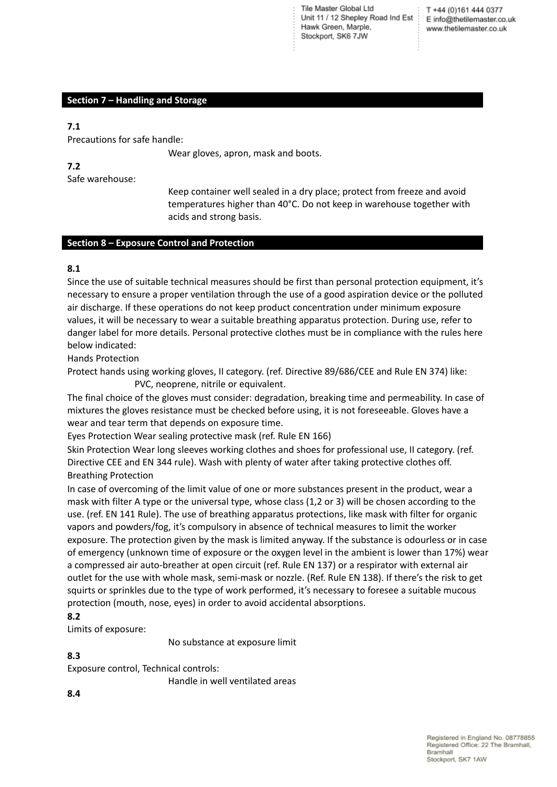Tile Master Global Ltd Unit 11 / 12 Shepley Road Ind Est Hawk Green, Marple, Stockport, SK6 7JW

T +44 (0)161 444 0377 E info@thetilemaster.co.uk www.thetilemaster.co.uk

### **Section 7 – Handling and Storage**

#### **7.1**

Precautions for safe handle:

Wear gloves, apron, mask and boots.

**7.2**

Safe warehouse:

Keep container well sealed in a dry place; protect from freeze and avoid temperatures higher than 40°C. Do not keep in warehouse together with acids and strong basis.

#### **Section 8 – Exposure Control and Protection**

#### **8.1**

Since the use of suitable technical measures should be first than personal protection equipment, it's necessary to ensure a proper ventilation through the use of a good aspiration device or the polluted air discharge. If these operations do not keep product concentration under minimum exposure values, it will be necessary to wear a suitable breathing apparatus protection. During use, refer to danger label for more details. Personal protective clothes must be in compliance with the rules here below indicated:

Hands Protection

Protect hands using working gloves, II category. (ref. Directive 89/686/CEE and Rule EN 374) like: PVC, neoprene, nitrile or equivalent.

The final choice of the gloves must consider: degradation, breaking time and permeability. In case of mixtures the gloves resistance must be checked before using, it is not foreseeable. Gloves have a wear and tear term that depends on exposure time.

Eyes Protection Wear sealing protective mask (ref. Rule EN 166)

Skin Protection Wear long sleeves working clothes and shoes for professional use, II category. (ref. Directive CEE and EN 344 rule). Wash with plenty of water after taking protective clothes off. Breathing Protection

In case of overcoming of the limit value of one or more substances present in the product, wear a mask with filter A type or the universal type, whose class (1,2 or 3) will be chosen according to the use. (ref. EN 141 Rule). The use of breathing apparatus protections, like mask with filter for organic vapors and powders/fog, it's compulsory in absence of technical measures to limit the worker exposure. The protection given by the mask is limited anyway. If the substance is odourless or in case of emergency (unknown time of exposure or the oxygen level in the ambient is lower than 17%) wear a compressed air auto-breather at open circuit (ref. Rule EN 137) or a respirator with external air outlet for the use with whole mask, semi-mask or nozzle. (Ref. Rule EN 138). If there's the risk to get squirts or sprinkles due to the type of work performed, it's necessary to foresee a suitable mucous protection (mouth, nose, eyes) in order to avoid accidental absorptions.

#### **8.2**

Limits of exposure:

No substance at exposure limit

**8.3**

Exposure control, Technical controls:

Handle in well ventilated areas

**8.4**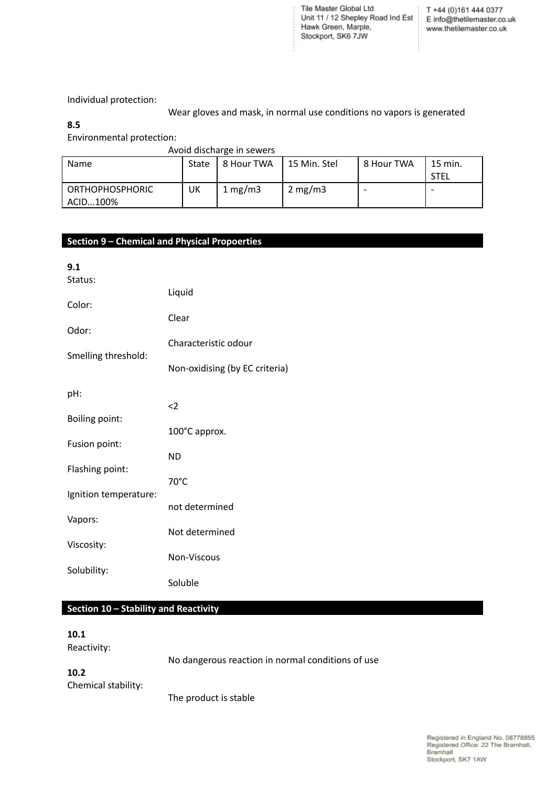Tile Master Global Ltd<br>
Init 11 / 12 Shepley Road Ind Est<br>  $E = \inf \left( \frac{m}{2} \right)$ <br>
E info@thetilemaster.co.uk<br>
Hawk Green, Marple,<br>
Stockpart, S.K. 2.7 M. Stockport, SK6 7JW

ţ

Individual protection:

Wear gloves and mask, in normal use conditions no vapors is generated

**8.5**

Environmental protection:

#### Avoid discharge in sewers

| <b>Name</b>                        | <b>State</b> | 8 Hour TWA | 15 Min. Stel     | l 8 Hour TWA | $\lq$ 15 min.<br><b>STEL</b> |
|------------------------------------|--------------|------------|------------------|--------------|------------------------------|
| <b>ORTHOPHOSPHORIC</b><br>ACID100% | UK           | 1 mg/m $3$ | $2 \text{ mg/m}$ |              |                              |

# **Section 9 – Chemical and Physical Propoerties**

| 9.1                   |                                |
|-----------------------|--------------------------------|
| Status:               |                                |
| Color:                | Liquid                         |
|                       | Clear                          |
| Odor:                 | Characteristic odour           |
| Smelling threshold:   |                                |
|                       | Non-oxidising (by EC criteria) |
|                       |                                |
| pH:                   | $\langle$ 2                    |
| <b>Boiling point:</b> |                                |
|                       | 100°C approx.                  |
| Fusion point:         | <b>ND</b>                      |
| Flashing point:       |                                |
|                       | $70^{\circ}$ C                 |
| Ignition temperature: | not determined                 |
| Vapors:               |                                |
|                       | Not determined                 |
| Viscosity:            | Non-Viscous                    |
| Solubility:           |                                |
|                       | Soluble                        |

### **Section 10 – Stability and Reactivity**

#### **10.1**

Reactivity:

No dangerous reaction in normal conditions of use

## **10.2** Chemical stability:

The product is stable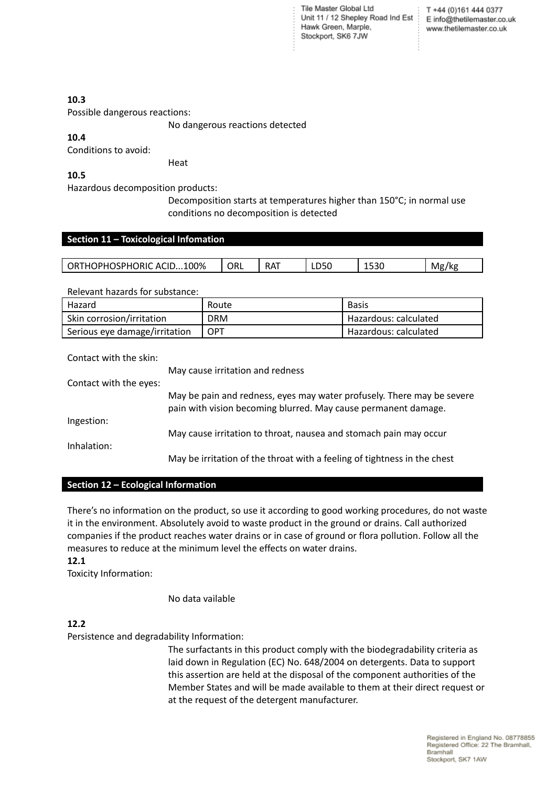Tile Master Global Ltd Unit 11 / 12 Shepley Road Ind Est Hawk Green, Marple, Stockport, SK6 7JW

T +44 (0)161 444 0377 E info@thetilemaster.co.uk www.thetilemaster.co.uk

### **10.3**

Possible dangerous reactions:

No dangerous reactions detected

## **10.4**

Conditions to avoid:

### **10.5**

Hazardous decomposition products:

Heat

Decomposition starts at temperatures higher than 150°C; in normal use conditions no decomposition is detected

### **Section 11 – Toxicological Infomation**

| ACID100%<br>$\sim$ $\sim$ $\sim$ $\sim$ $\sim$<br>OR <sub>1</sub><br>)PH | orl | $\sim$<br>RA. | LDSU | $-22$<br>ncct | Mø<br>/kg |
|--------------------------------------------------------------------------|-----|---------------|------|---------------|-----------|
|                                                                          |     |               |      |               | . .<br>ິ  |
|                                                                          |     |               |      |               |           |

Relevant hazards for substance:

| Hazard                        | Route      | <b>Basis</b>            |
|-------------------------------|------------|-------------------------|
| Skin corrosion/irritation     | <b>DRM</b> | ' Hazardous: calculated |
| Serious eye damage/irritation | <b>OPT</b> | Hazardous: calculated   |

#### Contact with the skin:

May cause irritation and redness Contact with the eyes: May be pain and redness, eyes may water profusely. There may be severe pain with vision becoming blurred. May cause permanent damage. Ingestion: May cause irritation to throat, nausea and stomach pain may occur Inhalation: May be irritation of the throat with a feeling of tightness in the chest

#### **Section 12 – Ecological Information**

There's no information on the product, so use it according to good working procedures, do not waste it in the environment. Absolutely avoid to waste product in the ground or drains. Call authorized companies if the product reaches water drains or in case of ground or flora pollution. Follow all the measures to reduce at the minimum level the effects on water drains.

#### **12.1**

Toxicity Information:

No data vailable

## **12.2**

Persistence and degradability Information:

The surfactants in this product comply with the biodegradability criteria as laid down in Regulation (EC) No. 648/2004 on detergents. Data to support this assertion are held at the disposal of the component authorities of the Member States and will be made available to them at their direct request or at the request of the detergent manufacturer.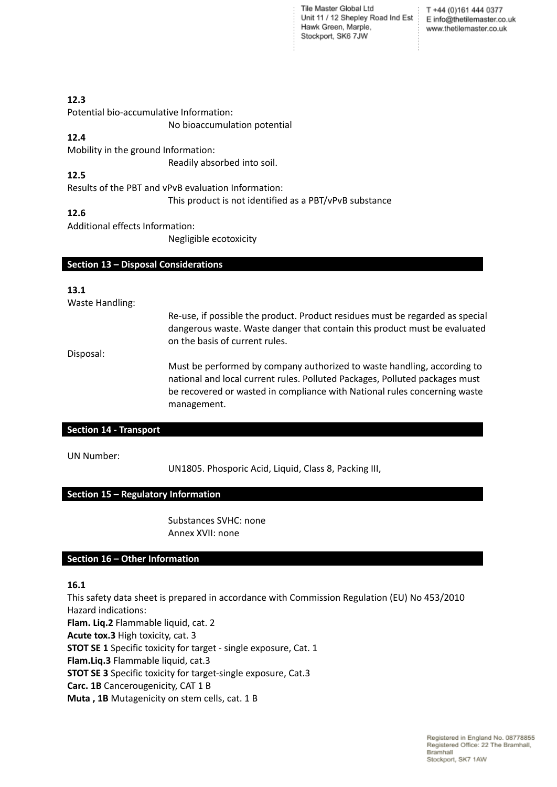Tile Master Global Ltd Unit 11 / 12 Shepley Road Ind Est Einfo@thetilemaster.co.uk Hawk Green, Marple, Stockport, SK6 7JW

T +44 (0)161 444 0377 www.thetilemaster.co.uk

### **12.3**

Potential bio-accumulative Information:

No bioaccumulation potential

# **12.4**

Mobility in the ground Information:

Readily absorbed into soil.

## **12.5**

Results of the PBT and vPvB evaluation Information:

This product is not identified as a PBT/vPvB substance

## **12.6**

Additional effects Information:

Negligible ecotoxicity

#### **Section 13 – Disposal Considerations**

### **13.1**

Waste Handling:

Re-use, if possible the product. Product residues must be regarded as special dangerous waste. Waste danger that contain this product must be evaluated on the basis of current rules.

Disposal:

Must be performed by company authorized to waste handling, according to national and local current rules. Polluted Packages, Polluted packages must be recovered or wasted in compliance with National rules concerning waste management.

### **Section 14 - Transport**

UN Number:

UN1805. Phosporic Acid, Liquid, Class 8, Packing III,

## **Section 15 – Regulatory Information**

Substances SVHC: none Annex XVII: none

#### **Section 16 – Other Information**

## **16.1**

This safety data sheet is prepared in accordance with Commission Regulation (EU) No 453/2010 Hazard indications:

**Flam. Liq.2** Flammable liquid, cat. 2 **Acute tox.3** High toxicity, cat. 3

**STOT SE 1** Specific toxicity for target - single exposure, Cat. 1

**Flam.Liq.3** Flammable liquid, cat.3

**STOT SE 3** Specific toxicity for target-single exposure, Cat.3

**Carc. 1B** Cancerougenicity, CAT 1 B

**Muta , 1B** Mutagenicity on stem cells, cat. 1 B